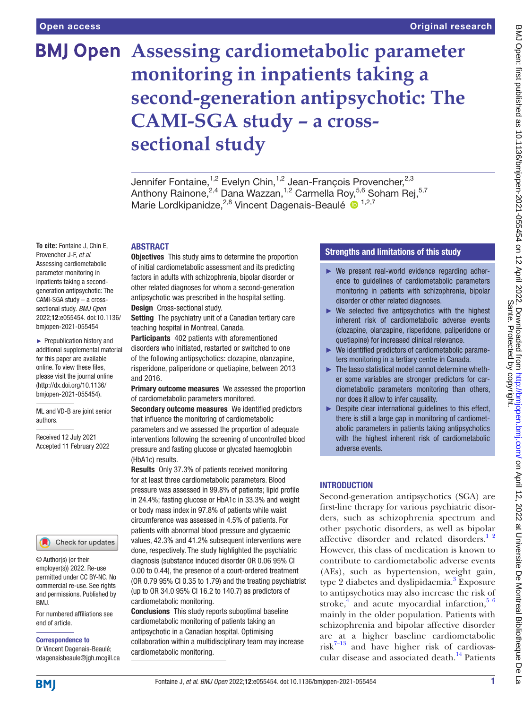**To cite:** Fontaine J, Chin E, Provencher J-F, *et al*. Assessing cardiometabolic parameter monitoring in inpatients taking a secondgeneration antipsychotic: The CAMI-SGA study – a crosssectional study. *BMJ Open* 2022;12:e055454. doi:10.1136/ bmjopen-2021-055454 ► Prepublication history and additional supplemental material for this paper are available online. To view these files, please visit the journal online [\(http://dx.doi.org/10.1136/](http://dx.doi.org/10.1136/bmjopen-2021-055454) [bmjopen-2021-055454](http://dx.doi.org/10.1136/bmjopen-2021-055454)). ML and VD-B are joint senior

# **BMJ Open** Assessing cardiometabolic parameter **monitoring in inpatients taking a second-generation antipsychotic: The CAMI-SGA study – a crosssectional study**

Jennifer Fontaine,<sup>1,2</sup> Evelyn Chin,<sup>1,2</sup> Jean-François Provencher,<sup>2,3</sup> Anthony Rainone,<sup>2,4</sup> Dana Wazzan,<sup>1,2</sup> Carmella Roy,<sup>5,6</sup> Soham Rej,<sup>5,7</sup> Marie Lordkipanidze,<sup>2,8</sup> Vincent Dagenais-Beaulé <sup>1,2,7</sup>

#### ABSTRACT

**Objectives** This study aims to determine the proportion of initial cardiometabolic assessment and its predicting factors in adults with schizophrenia, bipolar disorder or other related diagnoses for whom a second-generation antipsychotic was prescribed in the hospital setting. Design Cross-sectional study.

Setting The psychiatry unit of a Canadian tertiary care teaching hospital in Montreal, Canada.

Participants 402 patients with aforementioned disorders who initiated, restarted or switched to one of the following antipsychotics: clozapine, olanzapine, risperidone, paliperidone or quetiapine, between 2013 and 2016.

**Primary outcome measures** We assessed the proportion of cardiometabolic parameters monitored.

Secondary outcome measures We identified predictors that influence the monitoring of cardiometabolic parameters and we assessed the proportion of adequate interventions following the screening of uncontrolled blood pressure and fasting glucose or glycated haemoglobin (HbA1c) results.

Results Only 37.3% of patients received monitoring for at least three cardiometabolic parameters. Blood pressure was assessed in 99.8% of patients; lipid profile in 24.4%; fasting glucose or HbA1c in 33.3% and weight or body mass index in 97.8% of patients while waist circumference was assessed in 4.5% of patients. For patients with abnormal blood pressure and glycaemic values, 42.3% and 41.2% subsequent interventions were done, respectively. The study highlighted the psychiatric diagnosis (substance induced disorder OR 0.06 95% CI 0.00 to 0.44), the presence of a court-ordered treatment (OR 0.79 95% CI 0.35 to 1.79) and the treating psychiatrist (up to OR 34.0 95% CI 16.2 to 140.7) as predictors of cardiometabolic monitoring.

Conclusions This study reports suboptimal baseline cardiometabolic monitoring of patients taking an antipsychotic in a Canadian hospital. Optimising collaboration within a multidisciplinary team may increase cardiometabolic monitoring.

# Strengths and limitations of this study

- ► We present real-world evidence regarding adherence to guidelines of cardiometabolic parameters monitoring in patients with schizophrenia, bipolar disorder or other related diagnoses.
- $\blacktriangleright$  We selected five antipsychotics with the highest inherent risk of cardiometabolic adverse events (clozapine, olanzapine, risperidone, paliperidone or quetiapine) for increased clinical relevance.
- ► We identified predictors of cardiometabolic parameters monitoring in a tertiary centre in Canada.
- ► The lasso statistical model cannot determine whether some variables are stronger predictors for cardiometabolic parameters monitoring than others, nor does it allow to infer causality.
- $\blacktriangleright$  Despite clear international quidelines to this effect. there is still a large gap in monitoring of cardiometabolic parameters in patients taking antipsychotics with the highest inherent risk of cardiometabolic adverse events.

# **INTRODUCTION**

Second-generation antipsychotics (SGA) are first-line therapy for various psychiatric disorders, such as schizophrenia spectrum and other psychotic disorders, as well as bipolar affective disorder and related disorders.<sup>1</sup> <sup>2</sup> However, this class of medication is known to contribute to cardiometabolic adverse events (AEs), such as hypertension, weight gain, type 2 diabetes and dyslipidaemia.<sup>3</sup> Exposure to antipsychotics may also increase the risk of stroke, $\frac{4}{3}$  $\frac{4}{3}$  $\frac{4}{3}$  and acute myocardial infarction,  $\frac{5}{6}$ mainly in the older population. Patients with schizophrenia and bipolar affective disorder are at a higher baseline cardiometabolic  $risk^{7-13}$  and have higher risk of cardiovas-cular disease and associated death.<sup>[14](#page-6-5)</sup> Patients

# **BMI**

end of article.

BMJ.

Correspondence to Dr Vincent Dagenais-Beaulé; vdagenaisbeaule@jgh.mcgill.ca

© Author(s) (or their employer(s)) 2022. Re-use permitted under CC BY-NC. No commercial re-use. See rights and permissions. Published by

For numbered affiliations see

Check for updates

authors.

Received 12 July 2021 Accepted 11 February 2022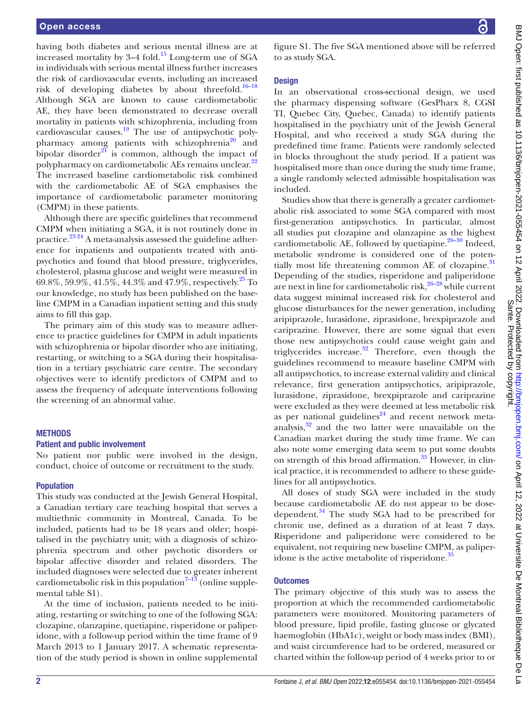having both diabetes and serious mental illness are at increased mortality by  $3-4$  fold.<sup>15</sup> Long-term use of SGA in individuals with serious mental illness further increases the risk of cardiovascular events, including an increased risk of developing diabetes by about threefold. $16-18$ Although SGA are known to cause cardiometabolic AE, they have been demonstrated to decrease overall mortality in patients with schizophrenia, including from cardiovascular causes.[19](#page-6-8) The use of antipsychotic polypharmacy among patients with schizophrenia<sup>20</sup> and bipolar disorder $^{21}$  $^{21}$  $^{21}$  is common, although the impact of polypharmacy on cardiometabolic AEs remains unclear.<sup>22</sup> The increased baseline cardiometabolic risk combined with the cardiometabolic AE of SGA emphasises the importance of cardiometabolic parameter monitoring (CMPM) in these patients.

Although there are specific guidelines that recommend CMPM when initiating a SGA, it is not routinely done in practice. $2^{324}$  A meta-analysis assessed the guideline adherence for inpatients and outpatients treated with antipsychotics and found that blood pressure, triglycerides, cholesterol, plasma glucose and weight were measured in 69.8%, 59.9%, 41.5%, 44.3% and 47.9%, respectively.<sup>[25](#page-6-13)</sup> To our knowledge, no study has been published on the baseline CMPM in a Canadian inpatient setting and this study aims to fill this gap.

The primary aim of this study was to measure adherence to practice guidelines for CMPM in adult inpatients with schizophrenia or bipolar disorder who are initiating, restarting, or switching to a SGA during their hospitalisation in a tertiary psychiatric care centre. The secondary objectives were to identify predictors of CMPM and to assess the frequency of adequate interventions following the screening of an abnormal value.

#### **METHODS**

#### Patient and public involvement

No patient nor public were involved in the design, conduct, choice of outcome or recruitment to the study.

#### Population

This study was conducted at the Jewish General Hospital, a Canadian tertiary care teaching hospital that serves a multiethnic community in Montreal, Canada. To be included, patients had to be 18 years and older; hospitalised in the psychiatry unit; with a diagnosis of schizophrenia spectrum and other psychotic disorders or bipolar affective disorder and related disorders. The included diagnoses were selected due to greater inherent cardiometabolic risk in this population<sup> $7-13$ </sup> [\(online supple](https://dx.doi.org/10.1136/bmjopen-2021-055454)[mental table S1\)](https://dx.doi.org/10.1136/bmjopen-2021-055454).

At the time of inclusion, patients needed to be initiating, restarting or switching to one of the following SGA: clozapine, olanzapine, quetiapine, risperidone or paliperidone, with a follow-up period within the time frame of 9 March 2013 to 1 January 2017. A schematic representation of the study period is shown in [online supplemental](https://dx.doi.org/10.1136/bmjopen-2021-055454)

[figure S1.](https://dx.doi.org/10.1136/bmjopen-2021-055454) The five SGA mentioned above will be referred to as study SGA.

#### **Design**

In an observational cross-sectional design, we used the pharmacy dispensing software (GesPharx 8, CGSI TI, Quebec City, Quebec, Canada) to identify patients hospitalised in the psychiatry unit of the Jewish General Hospital, and who received a study SGA during the predefined time frame. Patients were randomly selected in blocks throughout the study period. If a patient was hospitalised more than once during the study time frame, a single randomly selected admissible hospitalisation was included.

Studies show that there is generally a greater cardiometabolic risk associated to some SGA compared with most first-generation antipsychotics. In particular, almost all studies put clozapine and olanzapine as the highest cardiometabolic AE, followed by quetiapine. $26-30$  Indeed, metabolic syndrome is considered one of the potentially most life threatening common AE of clozapine. $31$ Depending of the studies, risperidone and paliperidone are next in line for cardiometabolic risk,[26–28](#page-6-14) while current data suggest minimal increased risk for cholesterol and glucose disturbances for the newer generation, including aripiprazole, lurasidone, ziprasidone, brexpiprazole and cariprazine. However, there are some signal that even those new antipsychotics could cause weight gain and triglycerides increase. $32$  Therefore, even though the guidelines recommend to measure baseline CMPM with all antipsychotics, to increase external validity and clinical relevance, first generation antipsychotics, aripiprazole, lurasidone, ziprasidone, brexpiprazole and cariprazine were excluded as they were deemed at less metabolic risk as per national guidelines $24$  and recent network metaanalysis, $32$  and the two latter were unavailable on the Canadian market during the study time frame. We can also note some emerging data seem to put some doubts on strength of this broad affirmation. $33$  However, in clinical practice, it is recommended to adhere to these guidelines for all antipsychotics.

All doses of study SGA were included in the study because cardiometabolic AE do not appear to be dosedependent. $34$  The study SGA had to be prescribed for chronic use, defined as a duration of at least 7 days. Risperidone and paliperidone were considered to be equivalent, not requiring new baseline CMPM, as paliperidone is the active metabolite of risperidone.<sup>35</sup>

#### **Outcomes**

The primary objective of this study was to assess the proportion at which the recommended cardiometabolic parameters were monitored. Monitoring parameters of blood pressure, lipid profile, fasting glucose or glycated haemoglobin (HbA1c), weight or body mass index (BMI), and waist circumference had to be ordered, measured or charted within the follow-up period of 4 weeks prior to or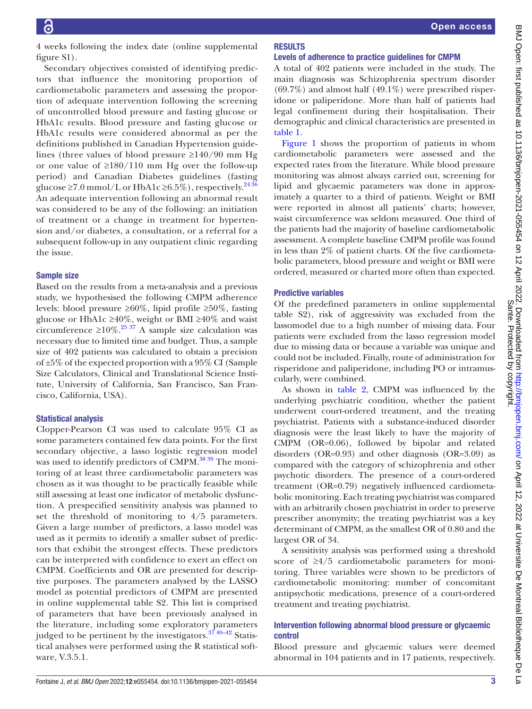4 weeks following the index date [\(online supplemental](https://dx.doi.org/10.1136/bmjopen-2021-055454) [figure S1](https://dx.doi.org/10.1136/bmjopen-2021-055454)).

Secondary objectives consisted of identifying predictors that influence the monitoring proportion of cardiometabolic parameters and assessing the proportion of adequate intervention following the screening of uncontrolled blood pressure and fasting glucose or HbA1c results. Blood pressure and fasting glucose or HbA1c results were considered abnormal as per the definitions published in Canadian Hypertension guidelines (three values of blood pressure ≥140/90 mm Hg or one value of ≥180/110 mm Hg over the follow-up period) and Canadian Diabetes guidelines (fasting glucose  $\geq 7.0$  mmol/L or HbA1c  $\geq 6.5\%$ ), respectively.<sup>2436</sup> An adequate intervention following an abnormal result was considered to be any of the following: an initiation of treatment or a change in treatment for hypertension and/or diabetes, a consultation, or a referral for a subsequent follow-up in any outpatient clinic regarding the issue.

#### Sample size

Based on the results from a meta-analysis and a previous study, we hypothesised the following CMPM adherence levels: blood pressure ≥60%, lipid profile ≥50%, fasting glucose or HbA1c ≥40%, weight or BMI ≥40% and waist circumference ≥10%.<sup>25 37</sup> A sample size calculation was necessary due to limited time and budget. Thus, a sample size of 402 patients was calculated to obtain a precision of ±5% of the expected proportion with a 95% CI (Sample Size Calculators, Clinical and Translational Science Institute, University of California, San Francisco, San Francisco, California, USA).

#### Statistical analysis

Clopper-Pearson CI was used to calculate 95% CI as some parameters contained few data points. For the first secondary objective, a lasso logistic regression model was used to identify predictors of CMPM.<sup>[38 39](#page-7-3)</sup> The monitoring of at least three cardiometabolic parameters was chosen as it was thought to be practically feasible while still assessing at least one indicator of metabolic dysfunction. A prespecified sensitivity analysis was planned to set the threshold of monitoring to 4/5 parameters. Given a large number of predictors, a lasso model was used as it permits to identify a smaller subset of predictors that exhibit the strongest effects. These predictors can be interpreted with confidence to exert an effect on CMPM. Coefficients and OR are presented for descriptive purposes. The parameters analysed by the LASSO model as potential predictors of CMPM are presented in [online supplemental table S2.](https://dx.doi.org/10.1136/bmjopen-2021-055454) This list is comprised of parameters that have been previously analysed in the literature, including some exploratory parameters judged to be pertinent by the investigators.<sup>3740-42</sup> Statistical analyses were performed using the R statistical software, V.3.5.1.

### **RESULTS** Levels of adherence to practice guidelines for CMPM

A total of 402 patients were included in the study. The main diagnosis was Schizophrenia spectrum disorder  $(69.7\%)$  and almost half  $(49.1\%)$  were prescribed risperidone or paliperidone. More than half of patients had legal confinement during their hospitalisation. Their demographic and clinical characteristics are presented in [table](#page-3-0) 1.

[Figure](#page-4-0) 1 shows the proportion of patients in whom cardiometabolic parameters were assessed and the expected rates from the literature. While blood pressure monitoring was almost always carried out, screening for lipid and glycaemic parameters was done in approximately a quarter to a third of patients. Weight or BMI were reported in almost all patients' charts; however, waist circumference was seldom measured. One third of the patients had the majority of baseline cardiometabolic assessment. A complete baseline CMPM profile was found in less than 2% of patient charts. Of the five cardiometabolic parameters, blood pressure and weight or BMI were ordered, measured or charted more often than expected.

#### Predictive variables

Of the predefined parameters in [online supplemental](https://dx.doi.org/10.1136/bmjopen-2021-055454)  [table S2](https://dx.doi.org/10.1136/bmjopen-2021-055454)), risk of aggressivity was excluded from the lassomodel due to a high number of missing data. Four patients were excluded from the lasso regression model due to missing data or because a variable was unique and could not be included. Finally, route of administration for risperidone and paliperidone, including PO or intramuscularly, were combined.

As shown in [table](#page-4-1) 2, CMPM was influenced by the underlying psychiatric condition, whether the patient underwent court-ordered treatment, and the treating psychiatrist. Patients with a substance-induced disorder diagnosis were the least likely to have the majority of CMPM (OR=0.06), followed by bipolar and related disorders (OR=0.93) and other diagnosis (OR=3.09) as compared with the category of schizophrenia and other psychotic disorders. The presence of a court-ordered treatment (OR=0.79) negatively influenced cardiometabolic monitoring. Each treating psychiatrist was compared with an arbitrarily chosen psychiatrist in order to preserve prescriber anonymity; the treating psychiatrist was a key determinant of CMPM, as the smallest OR of 0.80 and the largest OR of 34.

A sensitivity analysis was performed using a threshold score of  $\geq 4/5$  cardiometabolic parameters for monitoring. Three variables were shown to be predictors of cardiometabolic monitoring: number of concomitant antipsychotic medications, presence of a court-ordered treatment and treating psychiatrist.

# Intervention following abnormal blood pressure or glycaemic control

Blood pressure and glycaemic values were deemed abnormal in 104 patients and in 17 patients, respectively.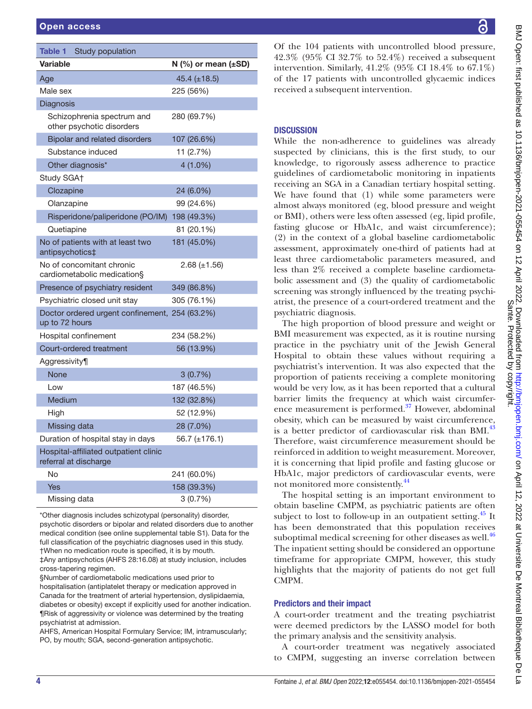<span id="page-3-0"></span>

| <b>Table 1</b><br>Study population                               |                             |  |  |
|------------------------------------------------------------------|-----------------------------|--|--|
| Variable                                                         | N $(\%)$ or mean $(\pm SD)$ |  |  |
| Age                                                              | 45.4 $(\pm 18.5)$           |  |  |
| Male sex                                                         | 225 (56%)                   |  |  |
| Diagnosis                                                        |                             |  |  |
| Schizophrenia spectrum and<br>other psychotic disorders          | 280 (69.7%)                 |  |  |
| <b>Bipolar and related disorders</b>                             | 107 (26.6%)                 |  |  |
| Substance induced                                                | 11 (2.7%)                   |  |  |
| Other diagnosis*                                                 | 4 (1.0%)                    |  |  |
| Study SGA+                                                       |                             |  |  |
| Clozapine                                                        | 24 (6.0%)                   |  |  |
| Olanzapine                                                       | 99 (24.6%)                  |  |  |
| Risperidone/paliperidone (PO/IM)                                 | 198 (49.3%)                 |  |  |
| Quetiapine                                                       | 81 (20.1%)                  |  |  |
| No of patients with at least two<br>antipsychotics‡              | 181 (45.0%)                 |  |  |
| No of concomitant chronic<br>cardiometabolic medication§         | 2.68 (±1.56)                |  |  |
| Presence of psychiatry resident                                  | 349 (86.8%)                 |  |  |
| Psychiatric closed unit stay                                     | 305 (76.1%)                 |  |  |
| Doctor ordered urgent confinement, 254 (63.2%)<br>up to 72 hours |                             |  |  |
| Hospital confinement                                             | 234 (58.2%)                 |  |  |
| Court-ordered treatment                                          | 56 (13.9%)                  |  |  |
| Aggressivity¶                                                    |                             |  |  |
| None                                                             | 3(0.7%)                     |  |  |
| Low                                                              | 187 (46.5%)                 |  |  |
| Medium                                                           | 132 (32.8%)                 |  |  |
| High                                                             | 52 (12.9%)                  |  |  |
| Missing data                                                     | 28 (7.0%)                   |  |  |
| Duration of hospital stay in days                                | 56.7 (±176.1)               |  |  |
| Hospital-affiliated outpatient clinic<br>referral at discharge   |                             |  |  |
| No                                                               | 241 (60.0%)                 |  |  |
| Yes                                                              | 158 (39.3%)                 |  |  |
| Missing data                                                     | 3(0.7%)                     |  |  |

\*Other diagnosis includes schizotypal (personality) disorder, psychotic disorders or bipolar and related disorders due to another medical condition (see [online supplemental table S1](https://dx.doi.org/10.1136/bmjopen-2021-055454)). Data for the full classification of the psychiatric diagnoses used in this study. †When no medication route is specified, it is by mouth.

‡Any antipsychotics (AHFS 28:16.08) at study inclusion, includes cross-tapering regimen.

§Number of cardiometabolic medications used prior to hospitalisation (antiplatelet therapy or medication approved in Canada for the treatment of arterial hypertension, dyslipidaemia, diabetes or obesity) except if explicitly used for another indication. ¶Risk of aggressivity or violence was determined by the treating psychiatrist at admission.

AHFS, American Hospital Formulary Service; IM, intramuscularly; PO, by mouth; SGA, second-generation antipsychotic.

 $\overline{a}$ 

Of the 104 patients with uncontrolled blood pressure, 42.3% (95% CI 32.7% to 52.4%) received a subsequent intervention. Similarly, 41.2% (95% CI 18.4% to 67.1%) of the 17 patients with uncontrolled glycaemic indices received a subsequent intervention.

# **DISCUSSION**

While the non-adherence to guidelines was already suspected by clinicians, this is the first study, to our knowledge, to rigorously assess adherence to practice guidelines of cardiometabolic monitoring in inpatients receiving an SGA in a Canadian tertiary hospital setting. We have found that (1) while some parameters were almost always monitored (eg, blood pressure and weight or BMI), others were less often assessed (eg, lipid profile, fasting glucose or HbA1c, and waist circumference); (2) in the context of a global baseline cardiometabolic assessment, approximately one-third of patients had at least three cardiometabolic parameters measured, and less than 2% received a complete baseline cardiometabolic assessment and (3) the quality of cardiometabolic screening was strongly influenced by the treating psychiatrist, the presence of a court-ordered treatment and the psychiatric diagnosis.

The high proportion of blood pressure and weight or BMI measurement was expected, as it is routine nursing practice in the psychiatry unit of the Jewish General Hospital to obtain these values without requiring a psychiatrist's intervention. It was also expected that the proportion of patients receiving a complete monitoring would be very low, as it has been reported that a cultural barrier limits the frequency at which waist circumference measurement is performed.<sup>37</sup> However, abdominal obesity, which can be measured by waist circumference, is a better predictor of cardiovascular risk than BMI.<sup>[43](#page-7-5)</sup> Therefore, waist circumference measurement should be reinforced in addition to weight measurement. Moreover, it is concerning that lipid profile and fasting glucose or HbA1c, major predictors of cardiovascular events, were not monitored more consistently.<sup>[44](#page-7-6)</sup>

The hospital setting is an important environment to obtain baseline CMPM, as psychiatric patients are often subject to lost to follow-up in an outpatient setting. $45$  It has been demonstrated that this population receives suboptimal medical screening for other diseases as well.<sup>[46](#page-7-8)</sup> The inpatient setting should be considered an opportune timeframe for appropriate CMPM, however, this study highlights that the majority of patients do not get full CMPM.

#### Predictors and their impact

A court-order treatment and the treating psychiatrist were deemed predictors by the LASSO model for both the primary analysis and the sensitivity analysis.

A court-order treatment was negatively associated to CMPM, suggesting an inverse correlation between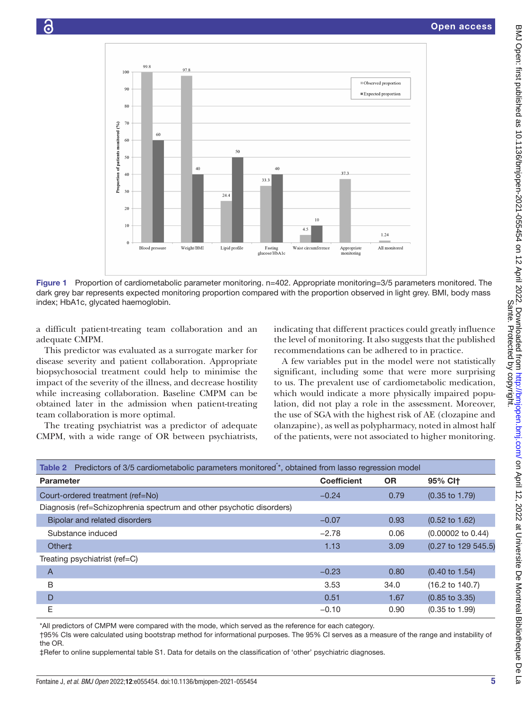

Figure 1 Proportion of cardiometabolic parameter monitoring. n=402. Appropriate monitoring=3/5 parameters monitored. The dark grey bar represents expected monitoring proportion compared with the proportion observed in light grey. BMI, body mass index; HbA1c, glycated haemoglobin.

a difficult patient-treating team collaboration and an adequate CMPM.

This predictor was evaluated as a surrogate marker for disease severity and patient collaboration. Appropriate biopsychosocial treatment could help to minimise the impact of the severity of the illness, and decrease hostility while increasing collaboration. Baseline CMPM can be obtained later in the admission when patient-treating team collaboration is more optimal.

The treating psychiatrist was a predictor of adequate CMPM, with a wide range of OR between psychiatrists, <span id="page-4-0"></span>indicating that different practices could greatly influence the level of monitoring. It also suggests that the published recommendations can be adhered to in practice.

A few variables put in the model were not statistically significant, including some that were more surprising to us. The prevalent use of cardiometabolic medication, which would indicate a more physically impaired population, did not play a role in the assessment. Moreover, the use of SGA with the highest risk of AE (clozapine and olanzapine), as well as polypharmacy, noted in almost half of the patients, were not associated to higher monitoring.

<span id="page-4-1"></span>

| Table 2 Predictors of 3/5 cardiometabolic parameters monitored <sup>*</sup> , obtained from lasso regression model |                    |           |                            |
|--------------------------------------------------------------------------------------------------------------------|--------------------|-----------|----------------------------|
| <b>Parameter</b>                                                                                                   | <b>Coefficient</b> | <b>OR</b> | 95% CI <sup>+</sup>        |
| Court-ordered treatment (ref=No)                                                                                   | $-0.24$            | 0.79      | $(0.35 \text{ to } 1.79)$  |
| Diagnosis (ref=Schizophrenia spectrum and other psychotic disorders)                                               |                    |           |                            |
| Bipolar and related disorders                                                                                      | $-0.07$            | 0.93      | $(0.52 \text{ to } 1.62)$  |
| Substance induced                                                                                                  | $-2.78$            | 0.06      | $(0.00002$ to $0.44)$      |
| Other <sub>‡</sub>                                                                                                 | 1.13               | 3.09      | (0.27 to 129 545.5)        |
| Treating psychiatrist (ref=C)                                                                                      |                    |           |                            |
| A                                                                                                                  | $-0.23$            | 0.80      | $(0.40 \text{ to } 1.54)$  |
| B                                                                                                                  | 3.53               | 34.0      | $(16.2 \text{ to } 140.7)$ |
| D                                                                                                                  | 0.51               | 1.67      | $(0.85 \text{ to } 3.35)$  |
| E                                                                                                                  | $-0.10$            | 0.90      | $(0.35 \text{ to } 1.99)$  |

\*All predictors of CMPM were compared with the mode, which served as the reference for each category.

†95% CIs were calculated using bootstrap method for informational purposes. The 95% CI serves as a measure of the range and instability of the OR.

‡Refer to [online supplemental table S1](https://dx.doi.org/10.1136/bmjopen-2021-055454). Data for details on the classification of 'other' psychiatric diagnoses.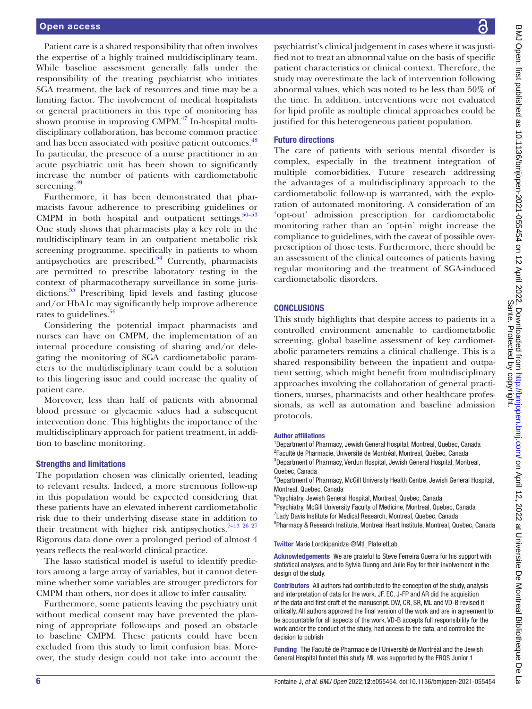Patient care is a shared responsibility that often involves the expertise of a highly trained multidisciplinary team. While baseline assessment generally falls under the responsibility of the treating psychiatrist who initiates SGA treatment, the lack of resources and time may be a limiting factor. The involvement of medical hospitalists or general practitioners in this type of monitoring has shown promise in improving CMPM.<sup>47</sup> In-hospital multidisciplinary collaboration, has become common practice and has been associated with positive patient outcomes.<sup>[48](#page-7-10)</sup> In particular, the presence of a nurse practitioner in an acute psychiatric unit has been shown to significantly increase the number of patients with cardiometabolic screening.<sup>[49](#page-7-11)</sup>

Furthermore, it has been demonstrated that pharmacists favour adherence to prescribing guidelines or CMPM in both hospital and outpatient settings. $50-53$ One study shows that pharmacists play a key role in the multidisciplinary team in an outpatient metabolic risk screening programme, specifically in patients to whom antipsychotics are prescribed. $54$  Currently, pharmacists are permitted to prescribe laboratory testing in the context of pharmacotherapy surveillance in some jurisdictions.<sup>55</sup> Prescribing lipid levels and fasting glucose and/or HbA1c may significantly help improve adherence rates to guidelines.<sup>56</sup>

Considering the potential impact pharmacists and nurses can have on CMPM, the implementation of an internal procedure consisting of sharing and/or delegating the monitoring of SGA cardiometabolic parameters to the multidisciplinary team could be a solution to this lingering issue and could increase the quality of patient care.

Moreover, less than half of patients with abnormal blood pressure or glycaemic values had a subsequent intervention done. This highlights the importance of the multidisciplinary approach for patient treatment, in addition to baseline monitoring.

#### Strengths and limitations

The population chosen was clinically oriented, leading to relevant results. Indeed, a more strenuous follow-up in this population would be expected considering that these patients have an elevated inherent cardiometabolic risk due to their underlying disease state in addition to their treatment with higher risk antipsychotics.<sup>7-13 26 27</sup> Rigorous data done over a prolonged period of almost 4 years reflects the real-world clinical practice.

The lasso statistical model is useful to identify predictors among a large array of variables, but it cannot determine whether some variables are stronger predictors for CMPM than others, nor does it allow to infer causality.

Furthermore, some patients leaving the psychiatry unit without medical consent may have prevented the planning of appropriate follow-ups and posed an obstacle to baseline CMPM. These patients could have been excluded from this study to limit confusion bias. Moreover, the study design could not take into account the

 $\overline{a}$ 

psychiatrist's clinical judgement in cases where it was justified not to treat an abnormal value on the basis of specific patient characteristics or clinical context. Therefore, the study may overestimate the lack of intervention following abnormal values, which was noted to be less than 50% of the time. In addition, interventions were not evaluated for lipid profile as multiple clinical approaches could be justified for this heterogeneous patient population.

# Future directions

The care of patients with serious mental disorder is complex, especially in the treatment integration of multiple comorbidities. Future research addressing the advantages of a multidisciplinary approach to the cardiometabolic follow-up is warranted, with the exploration of automated monitoring. A consideration of an 'opt-out' admission prescription for cardiometabolic monitoring rather than an 'opt-in' might increase the compliance to guidelines, with the caveat of possible overprescription of those tests. Furthermore, there should be an assessment of the clinical outcomes of patients having regular monitoring and the treatment of SGA-induced cardiometabolic disorders.

### **CONCLUSIONS**

This study highlights that despite access to patients in a controlled environment amenable to cardiometabolic screening, global baseline assessment of key cardiometabolic parameters remains a clinical challenge. This is a shared responsibility between the inpatient and outpatient setting, which might benefit from multidisciplinary approaches involving the collaboration of general practitioners, nurses, pharmacists and other healthcare professionals, as well as automation and baseline admission protocols.

#### Author affiliations

<sup>1</sup>Department of Pharmacy, Jewish General Hospital, Montreal, Quebec, Canada <sup>2</sup>Faculté de Pharmacie, Université de Montréal, Montreal, Québec, Canada 3 Department of Pharmacy, Verdun Hospital, Jewish General Hospital, Montreal, Quebec, Canada

4 Department of Pharmacy, McGill University Health Centre, Jewish General Hospital, Montreal, Quebec, Canada

5 Psychiatry, Jewish General Hospital, Montreal, Quebec, Canada

<sup>6</sup>Psychiatry, McGill University Faculty of Medicine, Montreal, Quebec, Canada <sup>7</sup> Lady Davis Institute for Medical Research, Montreal, Quebec, Canada <sup>8</sup>Pharmacy & Research Institute, Montreal Heart Institute, Montreal, Quebec, Canada

Twitter Marie Lordkipanidze [@Mtl\\_PlateletLab](https://twitter.com/Mtl_PlateletLab)

Acknowledgements We are grateful to Steve Ferreira Guerra for his support with statistical analyses, and to Sylvia Duong and Julie Roy for their involvement in the design of the study.

Contributors All authors had contributed to the conception of the study, analysis and interpretation of data for the work. JF, EC, J-FP and AR did the acquisition of the data and first draft of the manuscript. DW, CR, SR, ML and VD-B revised it critically. All authors approved the final version of the work and are in agreement to be accountable for all aspects of the work. VD-B accepts full responsibility for the work and/or the conduct of the study, had access to the data, and controlled the decision to publish

Funding The Faculté de Pharmacie de l'Université de Montréal and the Jewish General Hospital funded this study. ML was supported by the FRQS Junior 1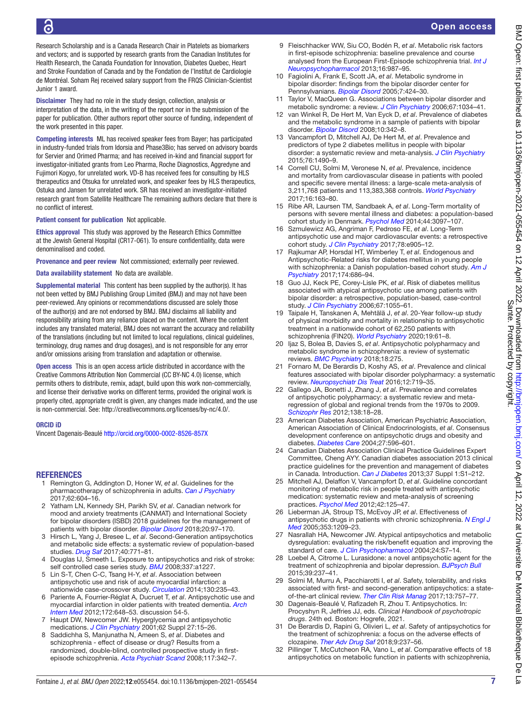# Open access

Research Scholarship and is a Canada Research Chair in Platelets as biomarkers and vectors; and is supported by research grants from the Canadian Institutes for Health Research, the Canada Foundation for Innovation, Diabetes Quebec, Heart and Stroke Foundation of Canada and by the Fondation de l'Institut de Cardiologie de Montréal. Soham Rej received salary support from the FRQS Clinician-Scientist Junior 1 award.

Disclaimer They had no role in the study design, collection, analysis or interpretation of the data, in the writing of the report nor in the submission of the paper for publication. Other authors report other source of funding, independent of the work presented in this paper.

Competing interests ML has received speaker fees from Bayer; has participated in industry-funded trials from Idorsia and Phase3Bio; has served on advisory boards for Servier and Orimed Pharma; and has received in-kind and financial support for investigator-initiated grants from Leo Pharma, Roche Diagnostics, Aggredyne and Fujimori Kogyo, for unrelated work. VD-B has received fees for consulting by HLS therapeutics and Otsuka for unrelated work, and speaker fees by HLS therapeutics, Ostuka and Jansen for unrelated work. SR has received an investigator-initiated research grant from Satellite Healthcare The remaining authors declare that there is no conflict of interest.

Patient consent for publication Not applicable.

Ethics approval This study was approved by the Research Ethics Committee at the Jewish General Hospital (CR17-061). To ensure confidentiality, data were denominalised and coded.

Provenance and peer review Not commissioned; externally peer reviewed.

Data availability statement No data are available.

Supplemental material This content has been supplied by the author(s). It has not been vetted by BMJ Publishing Group Limited (BMJ) and may not have been peer-reviewed. Any opinions or recommendations discussed are solely those of the author(s) and are not endorsed by BMJ. BMJ disclaims all liability and responsibility arising from any reliance placed on the content. Where the content includes any translated material, BMJ does not warrant the accuracy and reliability of the translations (including but not limited to local regulations, clinical guidelines, terminology, drug names and drug dosages), and is not responsible for any error and/or omissions arising from translation and adaptation or otherwise.

Open access This is an open access article distributed in accordance with the Creative Commons Attribution Non Commercial (CC BY-NC 4.0) license, which permits others to distribute, remix, adapt, build upon this work non-commercially, and license their derivative works on different terms, provided the original work is properly cited, appropriate credit is given, any changes made indicated, and the use is non-commercial. See: [http://creativecommons.org/licenses/by-nc/4.0/.](http://creativecommons.org/licenses/by-nc/4.0/)

#### ORCID iD

Vincent Dagenais-Beaulé <http://orcid.org/0000-0002-8526-857X>

#### **REFERENCES**

- <span id="page-6-0"></span>1 Remington G, Addington D, Honer W, *et al*. Guidelines for the pharmacotherapy of schizophrenia in adults. *[Can J Psychiatry](http://dx.doi.org/10.1177/0706743717720448)* 2017;62:604–16.
- 2 Yatham LN, Kennedy SH, Parikh SV, *et al*. Canadian network for mood and anxiety treatments (CANMAT) and International Society for bipolar disorders (ISBD) 2018 guidelines for the management of patients with bipolar disorder. *[Bipolar Disord](http://dx.doi.org/10.1111/bdi.12609)* 2018;20:97–170.
- <span id="page-6-1"></span>3 Hirsch L, Yang J, Bresee L, *et al*. Second-Generation antipsychotics and metabolic side effects: a systematic review of population-based studies. *[Drug Saf](http://dx.doi.org/10.1007/s40264-017-0543-0)* 2017;40:771–81.
- <span id="page-6-2"></span>4 Douglas IJ, Smeeth L. Exposure to antipsychotics and risk of stroke: self controlled case series study. *[BMJ](http://dx.doi.org/10.1136/bmj.a1227)* 2008;337:a1227.
- <span id="page-6-3"></span>5 Lin S-T, Chen C-C, Tsang H-Y, *et al*. Association between antipsychotic use and risk of acute myocardial infarction: a nationwide case-crossover study. *[Circulation](http://dx.doi.org/10.1161/CIRCULATIONAHA.114.008779)* 2014;130:235–43.
- 6 Pariente A, Fourrier-Réglat A, Ducruet T, *et al*. Antipsychotic use and myocardial infarction in older patients with treated dementia. *[Arch](http://dx.doi.org/10.1001/archinternmed.2012.28)  [Intern Med](http://dx.doi.org/10.1001/archinternmed.2012.28)* 2012;172:648–53. discussion 54-5.
- <span id="page-6-4"></span>7 Haupt DW, Newcomer JW. Hyperglycemia and antipsychotic medications. *[J Clin Psychiatry](http://www.ncbi.nlm.nih.gov/pubmed/11806485)* 2001;62 Suppl 27:15–26.
- 8 Saddichha S, Manjunatha N, Ameen S, *et al*. Diabetes and schizophrenia - effect of disease or drug? Results from a randomized, double-blind, controlled prospective study in firstepisode schizophrenia. *[Acta Psychiatr Scand](http://dx.doi.org/10.1111/j.1600-0447.2008.01158.x)* 2008;117:342–7.
- 9 Fleischhacker WW, Siu CO, Bodén R, *et al*. Metabolic risk factors in first-episode schizophrenia: baseline prevalence and course analysed from the European First-Episode schizophrenia trial. *[Int J](http://dx.doi.org/10.1017/S1461145712001241)  [Neuropsychopharmacol](http://dx.doi.org/10.1017/S1461145712001241)* 2013;16:987–95.
- 10 Fagiolini A, Frank E, Scott JA, *et al*. Metabolic syndrome in bipolar disorder: findings from the bipolar disorder center for Pennsylvanians. *[Bipolar Disord](http://dx.doi.org/10.1111/j.1399-5618.2005.00234.x)* 2005;7:424–30.
- 11 Taylor V, MacQueen G. Associations between bipolar disorder and metabolic syndrome: a review. *[J Clin Psychiatry](http://dx.doi.org/10.4088/JCP.v67n0704)* 2006;67:1034–41.
- 12 van Winkel R, De Hert M, Van Eyck D, *et al*. Prevalence of diabetes and the metabolic syndrome in a sample of patients with bipolar disorder. *[Bipolar Disord](http://dx.doi.org/10.1111/j.1399-5618.2007.00520.x)* 2008;10:342–8.
- 13 Vancampfort D, Mitchell AJ, De Hert M, *et al*. Prevalence and predictors of type 2 diabetes mellitus in people with bipolar disorder: a systematic review and meta-analysis. *[J Clin Psychiatry](http://dx.doi.org/10.4088/JCP.14r09635)* 2015;76:1490–9.
- <span id="page-6-5"></span>14 Correll CU, Solmi M, Veronese N, *et al*. Prevalence, incidence and mortality from cardiovascular disease in patients with pooled and specific severe mental illness: a large-scale meta-analysis of 3,211,768 patients and 113,383,368 controls. *[World Psychiatry](http://dx.doi.org/10.1002/wps.20420)* 2017;16:163–80.
- <span id="page-6-6"></span>15 Ribe AR, Laursen TM, Sandbaek A, *et al*. Long-Term mortality of persons with severe mental illness and diabetes: a population-based cohort study in Denmark. *[Psychol Med](http://dx.doi.org/10.1017/S0033291714000634)* 2014;44:3097–107.
- <span id="page-6-7"></span>16 Szmulewicz AG, Angriman F, Pedroso FE, *et al*. Long-Term antipsychotic use and major cardiovascular events: a retrospective cohort study. *[J Clin Psychiatry](http://dx.doi.org/10.4088/JCP.16m10976)* 2017;78:e905–12.
- 17 Rajkumar AP, Horsdal HT, Wimberley T, *et al*. Endogenous and Antipsychotic-Related risks for diabetes mellitus in young people with schizophrenia: a Danish population-based cohort study. *[Am J](http://dx.doi.org/10.1176/appi.ajp.2016.16040442)  [Psychiatry](http://dx.doi.org/10.1176/appi.ajp.2016.16040442)* 2017;174:686–94.
- 18 Guo JJ, Keck PE, Corey-Lisle PK, *et al*. Risk of diabetes mellitus associated with atypical antipsychotic use among patients with bipolar disorder: a retrospective, population-based, case-control study. *[J Clin Psychiatry](http://dx.doi.org/10.4088/jcp.v67n0707)* 2006;67:1055–61.
- <span id="page-6-8"></span>19 Taipale H, Tanskanen A, Mehtälä J, *et al*. 20-Year follow-up study of physical morbidity and mortality in relationship to antipsychotic treatment in a nationwide cohort of 62,250 patients with schizophrenia (FIN20). *[World Psychiatry](http://dx.doi.org/10.1002/wps.20699)* 2020;19:61–8.
- <span id="page-6-9"></span>20 Ijaz S, Bolea B, Davies S, *et al*. Antipsychotic polypharmacy and metabolic syndrome in schizophrenia: a review of systematic reviews. *[BMC Psychiatry](http://dx.doi.org/10.1186/s12888-018-1848-y)* 2018;18:275.
- <span id="page-6-10"></span>21 Fornaro M, De Berardis D, Koshy AS, *et al*. Prevalence and clinical features associated with bipolar disorder polypharmacy: a systematic review. *[Neuropsychiatr Dis Treat](http://dx.doi.org/10.2147/NDT.S100846)* 2016;12:719–35.
- <span id="page-6-11"></span>22 Gallego JA, Bonetti J, Zhang J, *et al*. Prevalence and correlates of antipsychotic polypharmacy: a systematic review and metaregression of global and regional trends from the 1970s to 2009. *[Schizophr Res](http://dx.doi.org/10.1016/j.schres.2012.03.018)* 2012;138:18–28.
- <span id="page-6-12"></span>23 American Diabetes Association, American Psychiatric Association, American Association of Clinical Endocrinologists, *et al*. Consensus development conference on antipsychotic drugs and obesity and diabetes. *[Diabetes Care](http://dx.doi.org/10.2337/diacare.27.2.596)* 2004;27:596–601.
- <span id="page-6-17"></span>24 Canadian Diabetes Association Clinical Practice Guidelines Expert Committee, Cheng AYY. Canadian diabetes association 2013 clinical practice guidelines for the prevention and management of diabetes in Canada. Introduction. *[Can J Diabetes](http://dx.doi.org/10.1016/j.jcjd.2013.01.009)* 2013;37 Suppl 1:S1–212.
- <span id="page-6-13"></span>25 Mitchell AJ, Delaffon V, Vancampfort D, *et al*. Guideline concordant monitoring of metabolic risk in people treated with antipsychotic medication: systematic review and meta-analysis of screening practices. *[Psychol Med](http://dx.doi.org/10.1017/S003329171100105X)* 2012;42:125–47.
- <span id="page-6-14"></span>26 Lieberman JA, Stroup TS, McEvoy JP, *et al*. Effectiveness of antipsychotic drugs in patients with chronic schizophrenia. *[N Engl J](http://dx.doi.org/10.1056/NEJMoa051688)  [Med](http://dx.doi.org/10.1056/NEJMoa051688)* 2005;353:1209–23.
- 27 Nasrallah HA, Newcomer JW. Atypical antipsychotics and metabolic dysregulation: evaluating the risk/benefit equation and improving the standard of care. *[J Clin Psychopharmacol](http://dx.doi.org/10.1097/01.jcp.0000142282.62336.e9)* 2004;24:S7–14.
- 28 Loebel A, Citrome L. Lurasidone: a novel antipsychotic agent for the treatment of schizophrenia and bipolar depression. *[BJPsych Bull](http://dx.doi.org/10.1192/pb.bp.114.048793)* 2015;39:237–41.
- 29 Solmi M, Murru A, Pacchiarotti I, *et al*. Safety, tolerability, and risks associated with first- and second-generation antipsychotics: a stateof-the-art clinical review. *[Ther Clin Risk Manag](http://dx.doi.org/10.2147/TCRM.S117321)* 2017;13:757–77.
- 30 Dagenais-Beaulé V, Rafizadeh R, Zhou T. Antipsychotics. In: Procyshyn R, Jeffries JJ, eds. *Clinical Handbook of psychotropic drugs*. 24th ed. Boston: Hogrefe, 2021.
- <span id="page-6-15"></span>31 De Berardis D, Rapini G, Olivieri L, *et al*. Safety of antipsychotics for the treatment of schizophrenia: a focus on the adverse effects of clozapine. *[Ther Adv Drug Saf](http://dx.doi.org/10.1177/2042098618756261)* 2018;9:237–56.
- <span id="page-6-16"></span>32 Pillinger T, McCutcheon RA, Vano L, *et al*. Comparative effects of 18 antipsychotics on metabolic function in patients with schizophrenia,

PФ 5